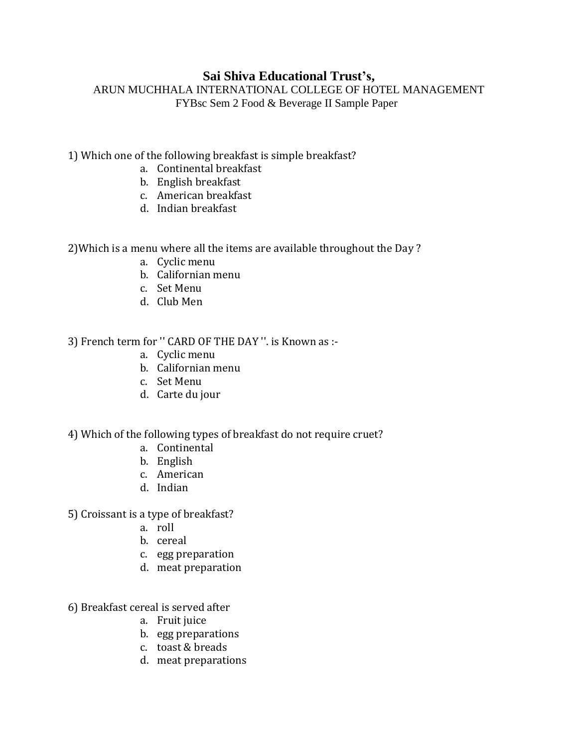## **Sai Shiva Educational Trust's,**

ARUN MUCHHALA INTERNATIONAL COLLEGE OF HOTEL MANAGEMENT FYBsc Sem 2 Food & Beverage II Sample Paper

## 1) Which one of the following breakfast is simple breakfast?

- a. Continental breakfast
- b. English breakfast
- c. American breakfast
- d. Indian breakfast

2)Which is a menu where all the items are available throughout the Day ?

- a. Cyclic menu
- b. Californian menu
- c. Set Menu
- d. Club Men

3) French term for '' CARD OF THE DAY ''. is Known as :-

- a. Cyclic menu
- b. Californian menu
- c. Set Menu
- d. Carte du jour

4) Which of the following types of breakfast do not require cruet?

- a. Continental
- b. English
- c. American
- d. Indian
- 5) Croissant is a type of breakfast?
	- a. roll
	- b. cereal
	- c. egg preparation
	- d. meat preparation
- 6) Breakfast cereal is served after
	- a. Fruit juice
	- b. egg preparations
	- c. toast & breads
	- d. meat preparations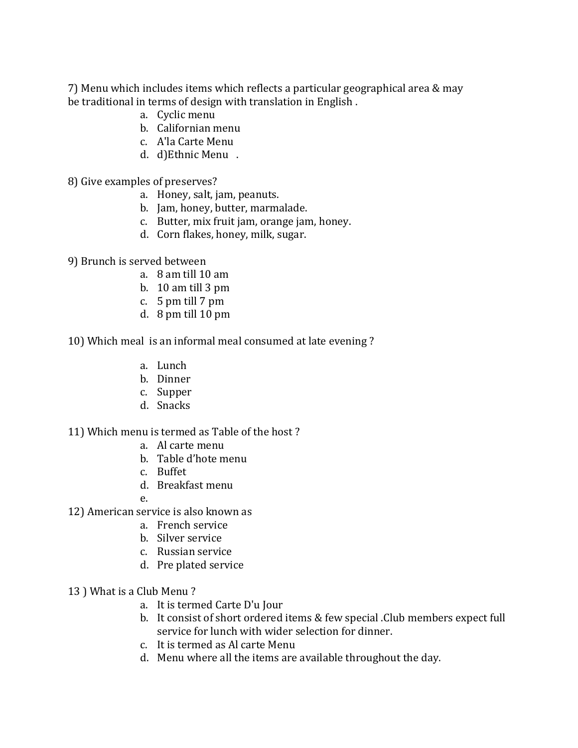7) Menu which includes items which reflects a particular geographical area & may be traditional in terms of design with translation in English .

- a. Cyclic menu
- b. Californian menu
- c. A'la Carte Menu
- d. d)Ethnic Menu .
- 8) Give examples of preserves?
	- a. Honey, salt, jam, peanuts.
	- b. Jam, honey, butter, marmalade.
	- c. Butter, mix fruit jam, orange jam, honey.
	- d. Corn flakes, honey, milk, sugar.
- 9) Brunch is served between
	- a. 8 am till 10 am
	- b. 10 am till 3 pm
	- c.  $5 \text{ pm}$  till  $7 \text{ pm}$
	- d. 8 pm till 10 pm

10) Which meal is an informal meal consumed at late evening ?

- a. Lunch
- b. Dinner
- c. Supper
- d. Snacks

11) Which menu is termed as Table of the host ?

- a. Al carte menu
- b. Table d'hote menu
- c. Buffet
- d. Breakfast menu
- e.
- 12) American service is also known as
	- a. French service
	- b. Silver service
	- c. Russian service
	- d. Pre plated service
- 13 ) What is a Club Menu ?
	- a. It is termed Carte D'u Jour
	- b. It consist of short ordered items & few special .Club members expect full service for lunch with wider selection for dinner.
	- c. It is termed as Al carte Menu
	- d. Menu where all the items are available throughout the day.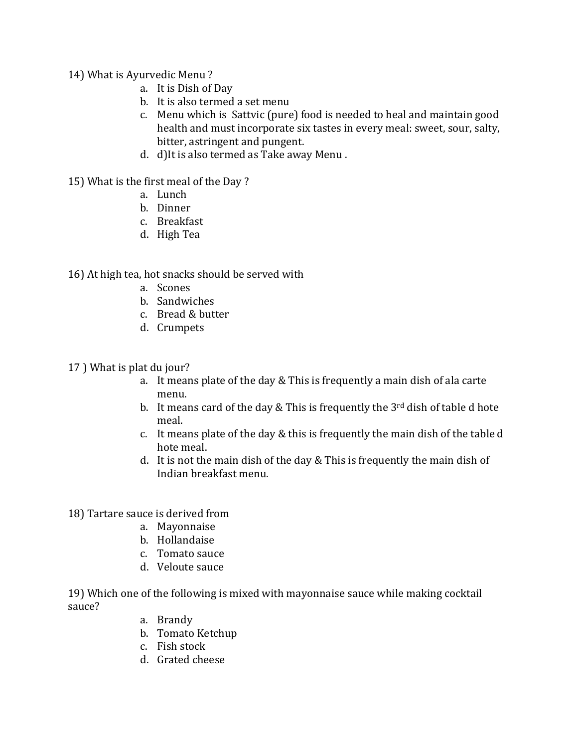- 14) What is Ayurvedic Menu ?
	- a. It is Dish of Day
	- b. It is also termed a set menu
	- c. Menu which is Sattvic (pure) food is needed to heal and maintain good health and must incorporate six tastes in every meal: sweet, sour, salty, bitter, astringent and pungent.
	- d. d)It is also termed as Take away Menu .

15) What is the first meal of the Day ?

- a. Lunch
- b. Dinner
- c. Breakfast
- d. High Tea

16) At high tea, hot snacks should be served with

- a. Scones
- b. Sandwiches
- c. Bread & butter
- d. Crumpets

17 ) What is plat du jour?

- a. It means plate of the day & This is frequently a main dish of ala carte menu.
- b. It means card of the day  $&$  This is frequently the  $3<sup>rd</sup>$  dish of table d hote meal.
- c. It means plate of the day & this is frequently the main dish of the table d hote meal.
- d. It is not the main dish of the day & This is frequently the main dish of Indian breakfast menu.

18) Tartare sauce is derived from

- a. Mayonnaise
- b. Hollandaise
- c. Tomato sauce
- d. Veloute sauce

19) Which one of the following is mixed with mayonnaise sauce while making cocktail sauce?

- a. Brandy
- b. Tomato Ketchup
- c. Fish stock
- d. Grated cheese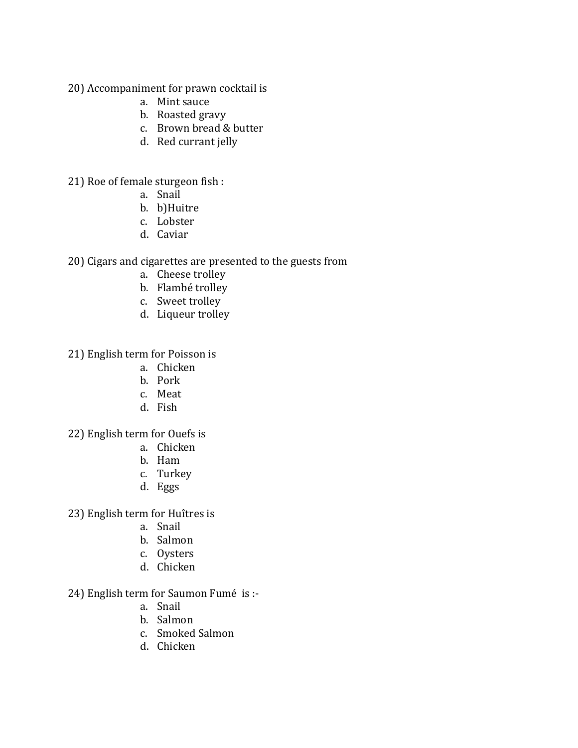20) Accompaniment for prawn cocktail is

- a. Mint sauce
- b. Roasted gravy
- c. Brown bread & butter
- d. Red currant jelly

21) Roe of female sturgeon fish :

- a. Snail
- b. b)Huitre
- c. Lobster
- d. Caviar

20) Cigars and cigarettes are presented to the guests from

- a. Cheese trolley
- b. Flambé trolley
- c. Sweet trolley
- d. Liqueur trolley

21) English term for Poisson is

- a. Chicken
- b. Pork
- c. Meat
- d. Fish

22) English term for Ouefs is

- a. Chicken
- b. Ham
- c. Turkey
- d. Eggs

23) English term for Huîtres is

- a. Snail
- b. Salmon
- c. Oysters
- d. Chicken
- 24) English term for Saumon Fumé is :
	- a. Snail
	- b. Salmon
	- c. Smoked Salmon
	- d. Chicken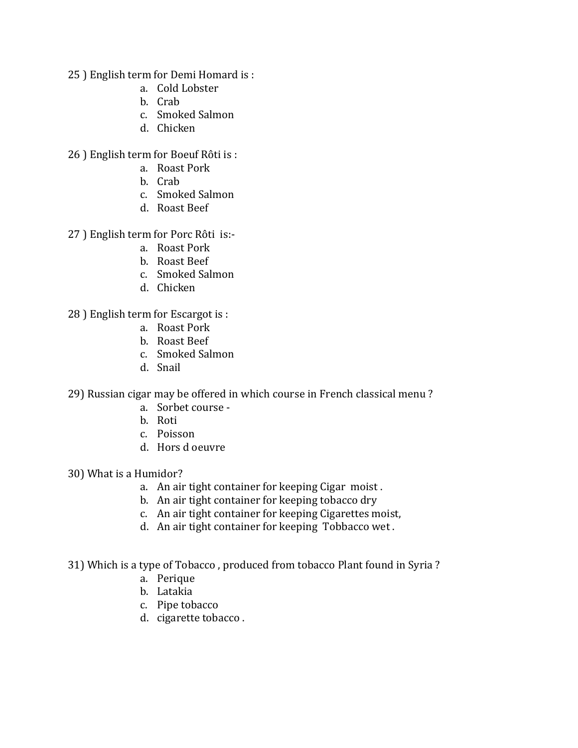- 25 ) English term for Demi Homard is :
	- a. Cold Lobster
	- b. Crab
	- c. Smoked Salmon
	- d. Chicken

26 ) English term for Boeuf Rôti is :

- a. Roast Pork
- b. Crab
- c. Smoked Salmon
- d. Roast Beef

27 ) English term for Porc Rôti is:-

- a. Roast Pork
- b. Roast Beef
- c. Smoked Salmon
- d. Chicken

28 ) English term for Escargot is :

- a. Roast Pork
- b. Roast Beef
- c. Smoked Salmon
- d. Snail

29) Russian cigar may be offered in which course in French classical menu ?

- a. Sorbet course -
- b. Roti
- c. Poisson
- d. Hors d oeuvre

30) What is a Humidor?

- a. An air tight container for keeping Cigar moist .
- b. An air tight container for keeping tobacco dry
- c. An air tight container for keeping Cigarettes moist,
- d. An air tight container for keeping Tobbacco wet .

31) Which is a type of Tobacco , produced from tobacco Plant found in Syria ?

- a. Perique
- b. Latakia
- c. Pipe tobacco
- d. cigarette tobacco .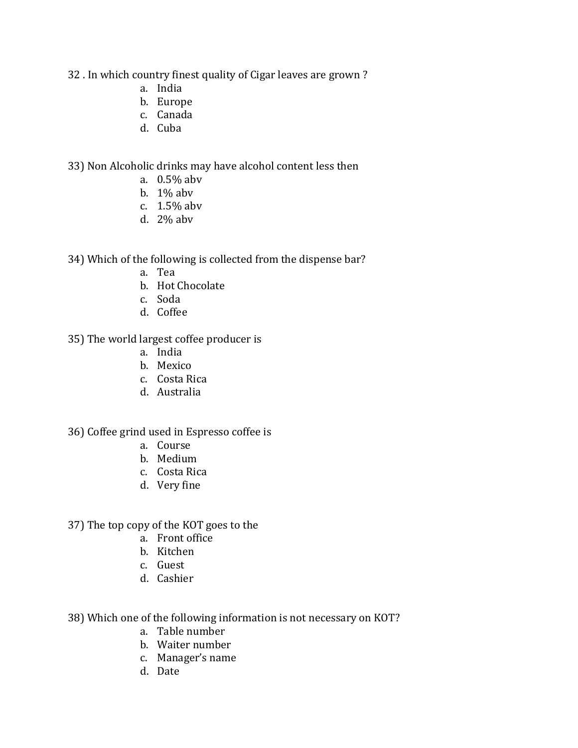32 . In which country finest quality of Cigar leaves are grown ?

- a. India
- b. Europe
- c. Canada
- d. Cuba

33) Non Alcoholic drinks may have alcohol content less then

- a. 0.5% abv
- b. 1% abv
- c. 1.5% abv
- d. 2% abv

34) Which of the following is collected from the dispense bar?

- a. Tea
- b. Hot Chocolate
- c. Soda
- d. Coffee
- 35) The world largest coffee producer is
	- a. India
	- b. Mexico
	- c. Costa Rica
	- d. Australia

## 36) Coffee grind used in Espresso coffee is

- a. Course
- b. Medium
- c. Costa Rica
- d. Very fine

37) The top copy of the KOT goes to the

- a. Front office
- b. Kitchen
- c. Guest
- d. Cashier
- 38) Which one of the following information is not necessary on KOT?
	- a. Table number
	- b. Waiter number
	- c. Manager's name
	- d. Date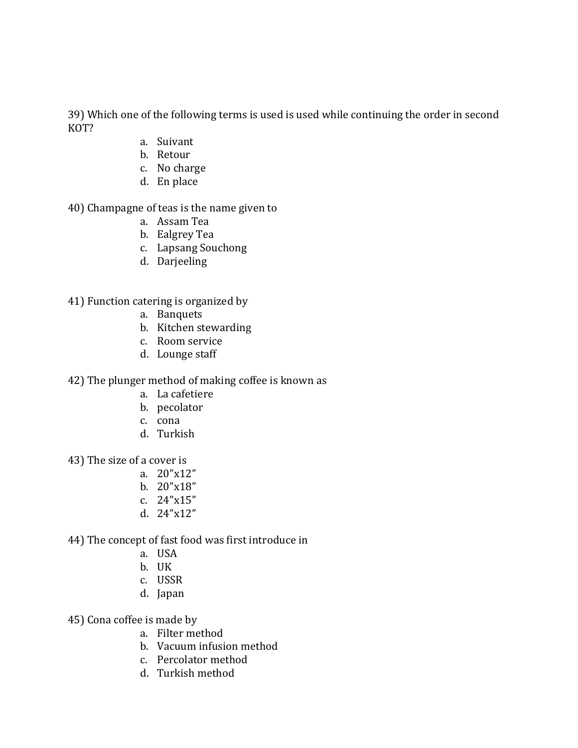39) Which one of the following terms is used is used while continuing the order in second KOT?

- a. Suivant
- b. Retour
- c. No charge
- d. En place

40) Champagne of teas is the name given to

- a. Assam Tea
- b. Ealgrey Tea
- c. Lapsang Souchong
- d. Darjeeling

41) Function catering is organized by

- a. Banquets
- b. Kitchen stewarding
- c. Room service
- d. Lounge staff

42) The plunger method of making coffee is known as

- a. La cafetiere
- b. pecolator
- c. cona
- d. Turkish
- 43) The size of a cover is
	- a. 20"x12"
	- b. 20"x18"
	- c. 24"x15"
	- d. 24"x12"
- 44) The concept of fast food was first introduce in
	- a. USA
	- b. UK
	- c. USSR
	- d. Japan
- 45) Cona coffee is made by
	- a. Filter method
	- b. Vacuum infusion method
	- c. Percolator method
	- d. Turkish method